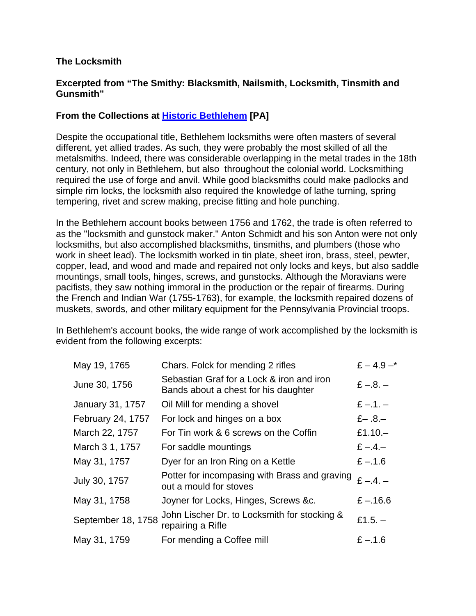## **The Locksmith**

## **Excerpted from "The Smithy: Blacksmith, Nailsmith, Locksmith, Tinsmith and Gunsmith"**

## **[From the Collections at H](http://www.historicbethlehem.org/)istoric Bethlehe[m \[PA\]](http://www.historicbethlehem.org/)**

Despite the occupational title, Bethlehem locksmiths were often masters of several different, yet allied trades. As such, they were probably the most skilled of all the metalsmiths. Indeed, there was considerable overlapping in the metal trades in the 18th century, not only in Bethlehem, but also throughout the colonial world. Locksmithing required the use of forge and anvil. While good blacksmiths could make padlocks and simple rim locks, the locksmith also required the knowledge of lathe turning, spring tempering, rivet and screw making, precise fitting and hole punching.

In the Bethlehem account books between 1756 and 1762, the trade is often referred to as the "locksmith and gunstock maker." Anton Schmidt and his son Anton were not only locksmiths, but also accomplished blacksmiths, tinsmiths, and plumbers (those who work in sheet lead). The locksmith worked in tin plate, sheet iron, brass, steel, pewter, copper, lead, and wood and made and repaired not only locks and keys, but also saddle mountings, small tools, hinges, screws, and gunstocks. Although the Moravians were pacifists, they saw nothing immoral in the production or the repair of firearms. During the French and Indian War (1755-1763), for example, the locksmith repaired dozens of muskets, swords, and other military equipment for the Pennsylvania Provincial troops.

In Bethlehem's account books, the wide range of work accomplished by the locksmith is evident from the following excerpts:

| May 19, 1765       | Chars. Folck for mending 2 rifles                                                 | $£ - 4.9 -$ *   |
|--------------------|-----------------------------------------------------------------------------------|-----------------|
| June 30, 1756      | Sebastian Graf for a Lock & iron and iron<br>Bands about a chest for his daughter | $E - 0.8 - 0.0$ |
| January 31, 1757   | Oil Mill for mending a shovel                                                     | $E - 1 =$       |
| February 24, 1757  | For lock and hinges on a box                                                      | $E - .8 -$      |
| March 22, 1757     | For Tin work & 6 screws on the Coffin                                             | £1.10 $-$       |
| March 3 1, 1757    | For saddle mountings                                                              | $E - 4 -$       |
| May 31, 1757       | Dyer for an Iron Ring on a Kettle                                                 | $£ - .1.6$      |
| July 30, 1757      | Potter for incompasing with Brass and graving<br>out a mould for stoves           | $E - 4 = -$     |
| May 31, 1758       | Joyner for Locks, Hinges, Screws &c.                                              | $£ - .16.6$     |
| September 18, 1758 | John Lischer Dr. to Locksmith for stocking &<br>repairing a Rifle                 | £1.5. $-$       |
| May 31, 1759       | For mending a Coffee mill                                                         | $£ - .1.6$      |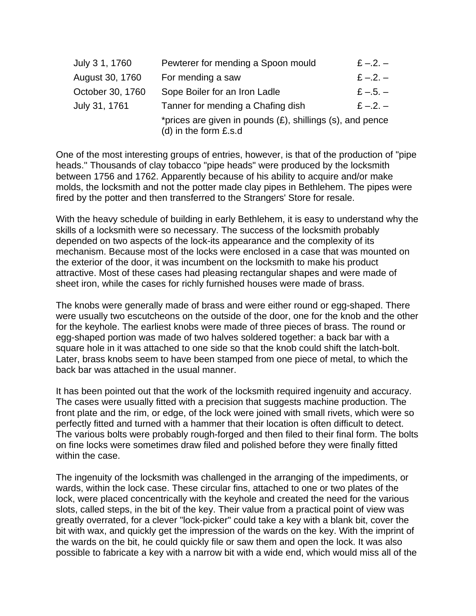| July 3 1, 1760   | Pewterer for mending a Spoon mould                                                       | $E - 2 = -$ |
|------------------|------------------------------------------------------------------------------------------|-------------|
| August 30, 1760  | For mending a saw                                                                        | $E - 2 = -$ |
| October 30, 1760 | Sope Boiler for an Iron Ladle                                                            | £ $-.5.$ –  |
| July 31, 1761    | Tanner for mending a Chafing dish                                                        | $E - 2 =$   |
|                  | *prices are given in pounds $(E)$ , shillings $(s)$ , and pence<br>(d) in the form £.s.d |             |

One of the most interesting groups of entries, however, is that of the production of "pipe heads.'' Thousands of clay tobacco "pipe heads" were produced by the locksmith between 1756 and 1762. Apparently because of his ability to acquire and/or make molds, the locksmith and not the potter made clay pipes in Bethlehem. The pipes were fired by the potter and then transferred to the Strangers' Store for resale.

With the heavy schedule of building in early Bethlehem, it is easy to understand why the skills of a locksmith were so necessary. The success of the locksmith probably depended on two aspects of the lock-its appearance and the complexity of its mechanism. Because most of the locks were enclosed in a case that was mounted on the exterior of the door, it was incumbent on the locksmith to make his product attractive. Most of these cases had pleasing rectangular shapes and were made of sheet iron, while the cases for richly furnished houses were made of brass.

The knobs were generally made of brass and were either round or egg-shaped. There were usually two escutcheons on the outside of the door, one for the knob and the other for the keyhole. The earliest knobs were made of three pieces of brass. The round or egg-shaped portion was made of two halves soldered together: a back bar with a square hole in it was attached to one side so that the knob could shift the latch-bolt. Later, brass knobs seem to have been stamped from one piece of metal, to which the back bar was attached in the usual manner.

It has been pointed out that the work of the locksmith required ingenuity and accuracy. The cases were usually fitted with a precision that suggests machine production. The front plate and the rim, or edge, of the lock were joined with small rivets, which were so perfectly fitted and turned with a hammer that their location is often difficult to detect. The various bolts were probably rough-forged and then filed to their final form. The bolts on fine locks were sometimes draw filed and polished before they were finally fitted within the case.

The ingenuity of the locksmith was challenged in the arranging of the impediments, or wards, within the lock case. These circular fins, attached to one or two plates of the lock, were placed concentrically with the keyhole and created the need for the various slots, called steps, in the bit of the key. Their value from a practical point of view was greatly overrated, for a clever "lock-picker" could take a key with a blank bit, cover the bit with wax, and quickly get the impression of the wards on the key. With the imprint of the wards on the bit, he could quickly file or saw them and open the lock. It was also possible to fabricate a key with a narrow bit with a wide end, which would miss all of the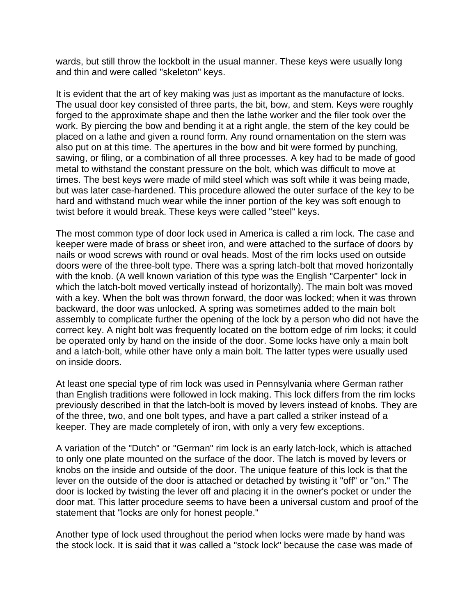wards, but still throw the lockbolt in the usual manner. These keys were usually long and thin and were called "skeleton" keys.

It is evident that the art of key making was just as important as the manufacture of locks. The usual door key consisted of three parts, the bit, bow, and stem. Keys were roughly forged to the approximate shape and then the lathe worker and the filer took over the work. By piercing the bow and bending it at a right angle, the stem of the key could be placed on a lathe and given a round form. Any round ornamentation on the stem was also put on at this time. The apertures in the bow and bit were formed by punching, sawing, or filing, or a combination of all three processes. A key had to be made of good metal to withstand the constant pressure on the bolt, which was difficult to move at times. The best keys were made of mild steel which was soft while it was being made, but was later case-hardened. This procedure allowed the outer surface of the key to be hard and withstand much wear while the inner portion of the key was soft enough to twist before it would break. These keys were called "steel" keys.

The most common type of door lock used in America is called a rim lock. The case and keeper were made of brass or sheet iron, and were attached to the surface of doors by nails or wood screws with round or oval heads. Most of the rim locks used on outside doors were of the three-bolt type. There was a spring latch-bolt that moved horizontally with the knob. (A well known variation of this type was the English "Carpenter" lock in which the latch-bolt moved vertically instead of horizontally). The main bolt was moved with a key. When the bolt was thrown forward, the door was locked; when it was thrown backward, the door was unlocked. A spring was sometimes added to the main bolt assembly to complicate further the opening of the lock by a person who did not have the correct key. A night bolt was frequently located on the bottom edge of rim locks; it could be operated only by hand on the inside of the door. Some locks have only a main bolt and a latch-bolt, while other have only a main bolt. The latter types were usually used on inside doors.

At least one special type of rim lock was used in Pennsylvania where German rather than English traditions were followed in lock making. This lock differs from the rim locks previously described in that the latch-bolt is moved by levers instead of knobs. They are of the three, two, and one bolt types, and have a part called a striker instead of a keeper. They are made completely of iron, with only a very few exceptions.

A variation of the "Dutch" or "German" rim lock is an early latch-lock, which is attached to only one plate mounted on the surface of the door. The latch is moved by levers or knobs on the inside and outside of the door. The unique feature of this lock is that the lever on the outside of the door is attached or detached by twisting it "off" or "on." The door is locked by twisting the lever off and placing it in the owner's pocket or under the door mat. This latter procedure seems to have been a universal custom and proof of the statement that "locks are only for honest people."

Another type of lock used throughout the period when locks were made by hand was the stock lock. It is said that it was called a "stock lock" because the case was made of